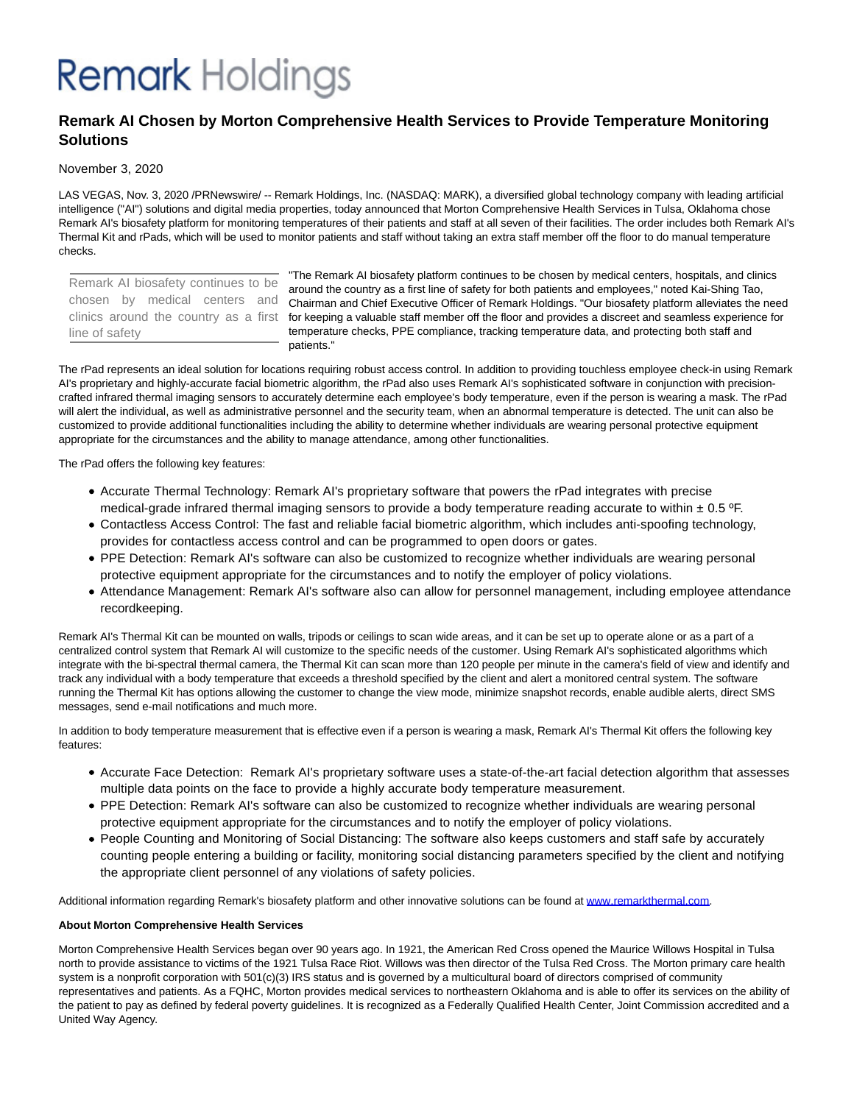## **Remark** Holdings

### **Remark AI Chosen by Morton Comprehensive Health Services to Provide Temperature Monitoring Solutions**

### November 3, 2020

LAS VEGAS, Nov. 3, 2020 /PRNewswire/ -- Remark Holdings, Inc. (NASDAQ: MARK), a diversified global technology company with leading artificial intelligence ("AI") solutions and digital media properties, today announced that Morton Comprehensive Health Services in Tulsa, Oklahoma chose Remark AI's biosafety platform for monitoring temperatures of their patients and staff at all seven of their facilities. The order includes both Remark AI's Thermal Kit and rPads, which will be used to monitor patients and staff without taking an extra staff member off the floor to do manual temperature checks.

Remark AI biosafety continues to be chosen by medical centers and line of safety

"The Remark AI biosafety platform continues to be chosen by medical centers, hospitals, and clinics around the country as a first line of safety for both patients and employees," noted Kai-Shing Tao, Chairman and Chief Executive Officer of Remark Holdings. "Our biosafety platform alleviates the need clinics around the country as a first for keeping a valuable staff member off the floor and provides a discreet and seamless experience for temperature checks, PPE compliance, tracking temperature data, and protecting both staff and patients."

The rPad represents an ideal solution for locations requiring robust access control. In addition to providing touchless employee check-in using Remark AI's proprietary and highly-accurate facial biometric algorithm, the rPad also uses Remark AI's sophisticated software in conjunction with precisioncrafted infrared thermal imaging sensors to accurately determine each employee's body temperature, even if the person is wearing a mask. The rPad will alert the individual, as well as administrative personnel and the security team, when an abnormal temperature is detected. The unit can also be customized to provide additional functionalities including the ability to determine whether individuals are wearing personal protective equipment appropriate for the circumstances and the ability to manage attendance, among other functionalities.

The rPad offers the following key features:

- Accurate Thermal Technology: Remark AI's proprietary software that powers the rPad integrates with precise medical-grade infrared thermal imaging sensors to provide a body temperature reading accurate to within  $\pm$  0.5 °F.
- Contactless Access Control: The fast and reliable facial biometric algorithm, which includes anti-spoofing technology, provides for contactless access control and can be programmed to open doors or gates.
- PPE Detection: Remark AI's software can also be customized to recognize whether individuals are wearing personal protective equipment appropriate for the circumstances and to notify the employer of policy violations.
- Attendance Management: Remark AI's software also can allow for personnel management, including employee attendance recordkeeping.

Remark AI's Thermal Kit can be mounted on walls, tripods or ceilings to scan wide areas, and it can be set up to operate alone or as a part of a centralized control system that Remark AI will customize to the specific needs of the customer. Using Remark AI's sophisticated algorithms which integrate with the bi-spectral thermal camera, the Thermal Kit can scan more than 120 people per minute in the camera's field of view and identify and track any individual with a body temperature that exceeds a threshold specified by the client and alert a monitored central system. The software running the Thermal Kit has options allowing the customer to change the view mode, minimize snapshot records, enable audible alerts, direct SMS messages, send e-mail notifications and much more.

In addition to body temperature measurement that is effective even if a person is wearing a mask, Remark AI's Thermal Kit offers the following key features:

- Accurate Face Detection: Remark AI's proprietary software uses a state-of-the-art facial detection algorithm that assesses multiple data points on the face to provide a highly accurate body temperature measurement.
- PPE Detection: Remark AI's software can also be customized to recognize whether individuals are wearing personal protective equipment appropriate for the circumstances and to notify the employer of policy violations.
- People Counting and Monitoring of Social Distancing: The software also keeps customers and staff safe by accurately counting people entering a building or facility, monitoring social distancing parameters specified by the client and notifying the appropriate client personnel of any violations of safety policies.

Additional information regarding Remark's biosafety platform and other innovative solutions can be found at [www.remarkthermal.com.](https://c212.net/c/link/?t=0&l=en&o=2970158-1&h=1854993280&u=http%3A%2F%2Fwww.remarkthermal.com%2F&a=www.remarkthermal.com)

### **About Morton Comprehensive Health Services**

Morton Comprehensive Health Services began over 90 years ago. In 1921, the American Red Cross opened the Maurice Willows Hospital in Tulsa north to provide assistance to victims of the 1921 Tulsa Race Riot. Willows was then director of the Tulsa Red Cross. The Morton primary care health system is a nonprofit corporation with 501(c)(3) IRS status and is governed by a multicultural board of directors comprised of community representatives and patients. As a FQHC, Morton provides medical services to northeastern Oklahoma and is able to offer its services on the ability of the patient to pay as defined by federal poverty guidelines. It is recognized as a Federally Qualified Health Center, Joint Commission accredited and a United Way Agency.